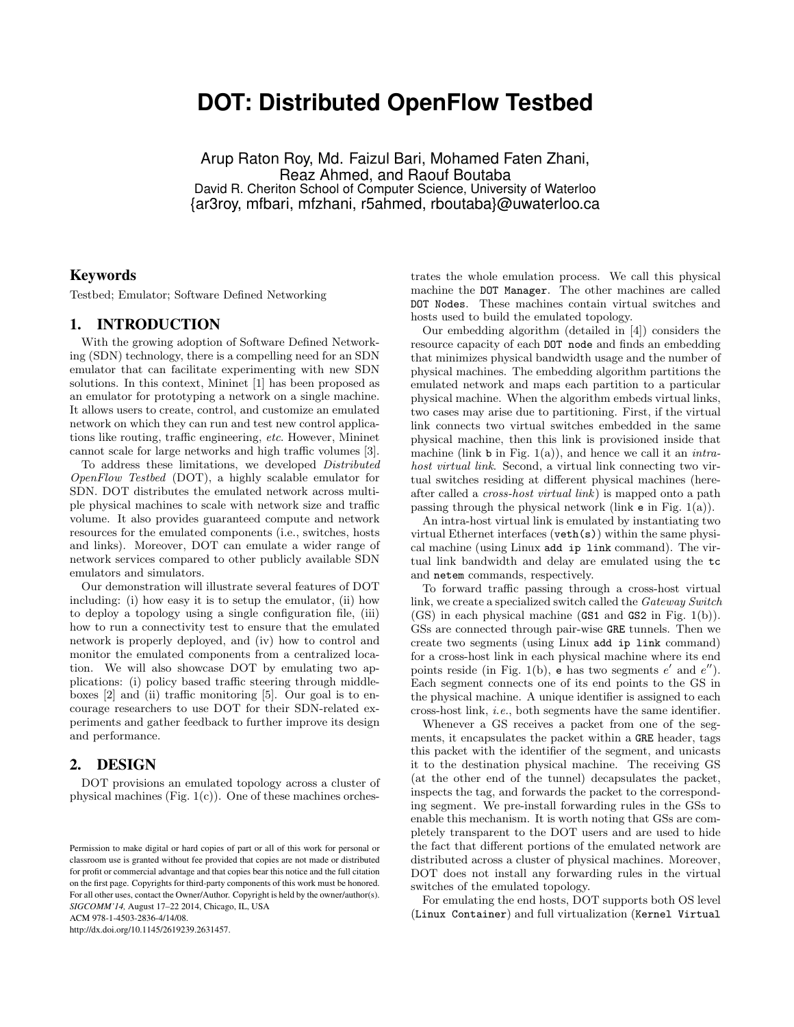# **DOT: Distributed OpenFlow Testbed**

Arup Raton Roy, Md. Faizul Bari, Mohamed Faten Zhani, Reaz Ahmed, and Raouf Boutaba David R. Cheriton School of Computer Science, University of Waterloo {ar3roy, mfbari, mfzhani, r5ahmed, rboutaba}@uwaterloo.ca

### Keywords

Testbed; Emulator; Software Defined Networking

#### 1. INTRODUCTION

With the growing adoption of Software Defined Networking (SDN) technology, there is a compelling need for an SDN emulator that can facilitate experimenting with new SDN solutions. In this context, Mininet [1] has been proposed as an emulator for prototyping a network on a single machine. It allows users to create, control, and customize an emulated network on which they can run and test new control applications like routing, traffic engineering, *etc*. However, Mininet cannot scale for large networks and high traffic volumes [3].

To address these limitations, we developed *Distributed OpenFlow Testbed* (DOT), a highly scalable emulator for SDN. DOT distributes the emulated network across multiple physical machines to scale with network size and traffic volume. It also provides guaranteed compute and network resources for the emulated components (i.e., switches, hosts and links). Moreover, DOT can emulate a wider range of network services compared to other publicly available SDN emulators and simulators.

Our demonstration will illustrate several features of DOT including: (i) how easy it is to setup the emulator, (ii) how to deploy a topology using a single configuration file, (iii) how to run a connectivity test to ensure that the emulated network is properly deployed, and (iv) how to control and monitor the emulated components from a centralized location. We will also showcase DOT by emulating two applications: (i) policy based traffic steering through middleboxes  $[2]$  and (ii) traffic monitoring  $[5]$ . Our goal is to encourage researchers to use DOT for their SDN-related experiments and gather feedback to further improve its design and performance.

#### 2. DESIGN

DOT provisions an emulated topology across a cluster of physical machines (Fig.  $1(c)$ ). One of these machines orches-

ACM 978-1-4503-2836-4/14/08.

http://dx.doi.org/10.1145/2619239.2631457.

trates the whole emulation process. We call this physical machine the DOT Manager. The other machines are called DOT Nodes. These machines contain virtual switches and hosts used to build the emulated topology.

Our embedding algorithm (detailed in [4]) considers the resource capacity of each DOT node and finds an embedding that minimizes physical bandwidth usage and the number of physical machines. The embedding algorithm partitions the emulated network and maps each partition to a particular physical machine. When the algorithm embeds virtual links, two cases may arise due to partitioning. First, if the virtual link connects two virtual switches embedded in the same physical machine, then this link is provisioned inside that machine (link b in Fig. 1(a)), and hence we call it an *intrahost virtual link*. Second, a virtual link connecting two virtual switches residing at different physical machines (hereafter called a *cross-host virtual link*) is mapped onto a path passing through the physical network (link e in Fig. 1(a)).

An intra-host virtual link is emulated by instantiating two virtual Ethernet interfaces (veth(s)) within the same physical machine (using Linux add ip link command). The virtual link bandwidth and delay are emulated using the tc and netem commands, respectively.

To forward traffic passing through a cross-host virtual link, we create a specialized switch called the *Gateway Switch* (GS) in each physical machine (GS1 and GS2 in Fig. 1(b)). GSs are connected through pair-wise GRE tunnels. Then we create two segments (using Linux add ip link command) for a cross-host link in each physical machine where its end points reside (in Fig. 1(b),  $\bf{e}$  has two segments  $e'$  and  $e''$ ). Each segment connects one of its end points to the GS in the physical machine. A unique identifier is assigned to each cross-host link, *i.e.*, both segments have the same identifier.

Whenever a GS receives a packet from one of the segments, it encapsulates the packet within a GRE header, tags this packet with the identifier of the segment, and unicasts it to the destination physical machine. The receiving GS (at the other end of the tunnel) decapsulates the packet, inspects the tag, and forwards the packet to the corresponding segment. We pre-install forwarding rules in the GSs to enable this mechanism. It is worth noting that GSs are completely transparent to the DOT users and are used to hide the fact that different portions of the emulated network are distributed across a cluster of physical machines. Moreover, DOT does not install any forwarding rules in the virtual switches of the emulated topology.

For emulating the end hosts, DOT supports both OS level (Linux Container) and full virtualization (Kernel Virtual

Permission to make digital or hard copies of part or all of this work for personal or classroom use is granted without fee provided that copies are not made or distributed for profit or commercial advantage and that copies bear this notice and the full citation on the first page. Copyrights for third-party components of this work must be honored. For all other uses, contact the Owner/Author. Copyright is held by the owner/author(s). *SIGCOMM'14,* August 17–22 2014, Chicago, IL, USA